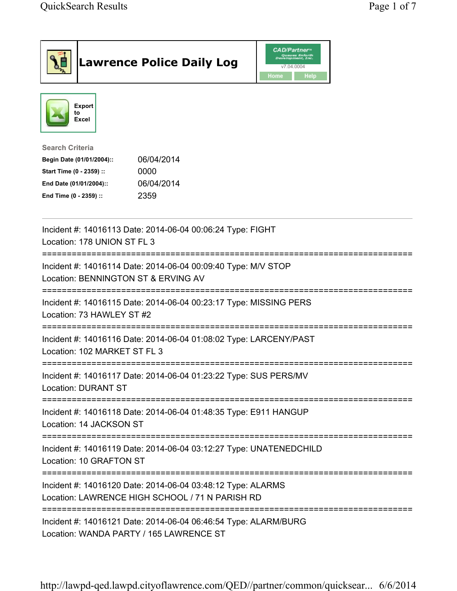|                                                                                                                                      | <b>Lawrence Police Daily Log</b>                                                                           | <b>CAD/Partner</b> <sup>*</sup><br>Queues Enforth<br>Development, Inc.<br>v7.04.0004<br>Home<br><b>Help</b> |  |
|--------------------------------------------------------------------------------------------------------------------------------------|------------------------------------------------------------------------------------------------------------|-------------------------------------------------------------------------------------------------------------|--|
| <b>Export</b><br>to<br>Excel                                                                                                         |                                                                                                            |                                                                                                             |  |
| <b>Search Criteria</b><br>Begin Date (01/01/2004)::<br>Start Time (0 - 2359) ::<br>End Date (01/01/2004)::<br>End Time (0 - 2359) :: | 06/04/2014<br>0000<br>06/04/2014<br>2359                                                                   |                                                                                                             |  |
| Location: 178 UNION ST FL 3                                                                                                          | Incident #: 14016113 Date: 2014-06-04 00:06:24 Type: FIGHT                                                 |                                                                                                             |  |
| ---------------------------------<br>Location: BENNINGTON ST & ERVING AV                                                             | Incident #: 14016114 Date: 2014-06-04 00:09:40 Type: M/V STOP                                              |                                                                                                             |  |
| Location: 73 HAWLEY ST #2                                                                                                            | Incident #: 14016115 Date: 2014-06-04 00:23:17 Type: MISSING PERS                                          |                                                                                                             |  |
| Location: 102 MARKET ST FL 3                                                                                                         | Incident #: 14016116 Date: 2014-06-04 01:08:02 Type: LARCENY/PAST                                          |                                                                                                             |  |
| <b>Location: DURANT ST</b>                                                                                                           | Incident #: 14016117 Date: 2014-06-04 01:23:22 Type: SUS PERS/MV                                           |                                                                                                             |  |
| Location: 14 JACKSON ST                                                                                                              | Incident #: 14016118 Date: 2014-06-04 01:48:35 Type: E911 HANGUP                                           |                                                                                                             |  |
| Location: 10 GRAFTON ST                                                                                                              | Incident #: 14016119 Date: 2014-06-04 03:12:27 Type: UNATENEDCHILD                                         |                                                                                                             |  |
| Incident #: 14016120 Date: 2014-06-04 03:48:12 Type: ALARMS<br>Location: LAWRENCE HIGH SCHOOL / 71 N PARISH RD                       |                                                                                                            |                                                                                                             |  |
|                                                                                                                                      | Incident #: 14016121 Date: 2014-06-04 06:46:54 Type: ALARM/BURG<br>Location: WANDA PARTY / 165 LAWRENCE ST |                                                                                                             |  |

http://lawpd-qed.lawpd.cityoflawrence.com/QED//partner/common/quicksear... 6/6/2014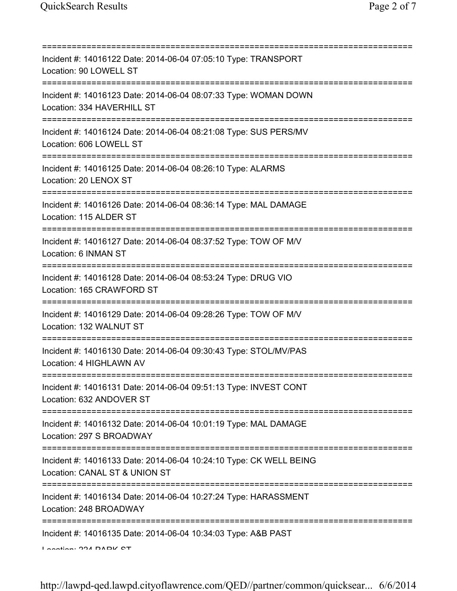| Incident #: 14016122 Date: 2014-06-04 07:05:10 Type: TRANSPORT<br>Location: 90 LOWELL ST                                             |
|--------------------------------------------------------------------------------------------------------------------------------------|
| Incident #: 14016123 Date: 2014-06-04 08:07:33 Type: WOMAN DOWN<br>Location: 334 HAVERHILL ST                                        |
| Incident #: 14016124 Date: 2014-06-04 08:21:08 Type: SUS PERS/MV<br>Location: 606 LOWELL ST                                          |
| Incident #: 14016125 Date: 2014-06-04 08:26:10 Type: ALARMS<br>Location: 20 LENOX ST                                                 |
| Incident #: 14016126 Date: 2014-06-04 08:36:14 Type: MAL DAMAGE<br>Location: 115 ALDER ST                                            |
| Incident #: 14016127 Date: 2014-06-04 08:37:52 Type: TOW OF M/V<br>Location: 6 INMAN ST                                              |
| Incident #: 14016128 Date: 2014-06-04 08:53:24 Type: DRUG VIO<br>Location: 165 CRAWFORD ST<br>====================================== |
| Incident #: 14016129 Date: 2014-06-04 09:28:26 Type: TOW OF M/V<br>Location: 132 WALNUT ST                                           |
| Incident #: 14016130 Date: 2014-06-04 09:30:43 Type: STOL/MV/PAS<br>Location: 4 HIGHLAWN AV                                          |
| Incident #: 14016131 Date: 2014-06-04 09:51:13 Type: INVEST CONT<br>Location: 632 ANDOVER ST                                         |
| Incident #: 14016132 Date: 2014-06-04 10:01:19 Type: MAL DAMAGE<br>Location: 297 S BROADWAY                                          |
| Incident #: 14016133 Date: 2014-06-04 10:24:10 Type: CK WELL BEING<br>Location: CANAL ST & UNION ST                                  |
| Incident #: 14016134 Date: 2014-06-04 10:27:24 Type: HARASSMENT<br>Location: 248 BROADWAY                                            |
| Incident #: 14016135 Date: 2014-06-04 10:34:03 Type: A&B PAST<br>Lootion: 004 DADIZ OT                                               |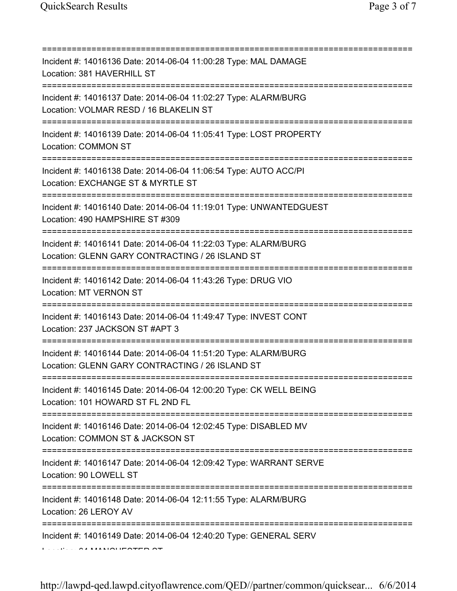| :============                                                                                                                          |
|----------------------------------------------------------------------------------------------------------------------------------------|
| Incident #: 14016136 Date: 2014-06-04 11:00:28 Type: MAL DAMAGE<br>Location: 381 HAVERHILL ST                                          |
| Incident #: 14016137 Date: 2014-06-04 11:02:27 Type: ALARM/BURG<br>Location: VOLMAR RESD / 16 BLAKELIN ST                              |
| Incident #: 14016139 Date: 2014-06-04 11:05:41 Type: LOST PROPERTY<br>Location: COMMON ST<br>================================          |
| Incident #: 14016138 Date: 2014-06-04 11:06:54 Type: AUTO ACC/PI<br>Location: EXCHANGE ST & MYRTLE ST                                  |
| Incident #: 14016140 Date: 2014-06-04 11:19:01 Type: UNWANTEDGUEST<br>Location: 490 HAMPSHIRE ST #309                                  |
| Incident #: 14016141 Date: 2014-06-04 11:22:03 Type: ALARM/BURG<br>Location: GLENN GARY CONTRACTING / 26 ISLAND ST<br>================ |
| Incident #: 14016142 Date: 2014-06-04 11:43:26 Type: DRUG VIO<br><b>Location: MT VERNON ST</b>                                         |
| Incident #: 14016143 Date: 2014-06-04 11:49:47 Type: INVEST CONT<br>Location: 237 JACKSON ST #APT 3                                    |
| Incident #: 14016144 Date: 2014-06-04 11:51:20 Type: ALARM/BURG<br>Location: GLENN GARY CONTRACTING / 26 ISLAND ST                     |
| Incident #: 14016145 Date: 2014-06-04 12:00:20 Type: CK WELL BEING<br>Location: 101 HOWARD ST FL 2ND FL                                |
| Incident #: 14016146 Date: 2014-06-04 12:02:45 Type: DISABLED MV<br>Location: COMMON ST & JACKSON ST                                   |
| Incident #: 14016147 Date: 2014-06-04 12:09:42 Type: WARRANT SERVE<br>Location: 90 LOWELL ST                                           |
| ==================================<br>Incident #: 14016148 Date: 2014-06-04 12:11:55 Type: ALARM/BURG<br>Location: 26 LEROY AV         |
| Incident #: 14016149 Date: 2014-06-04 12:40:20 Type: GENERAL SERV                                                                      |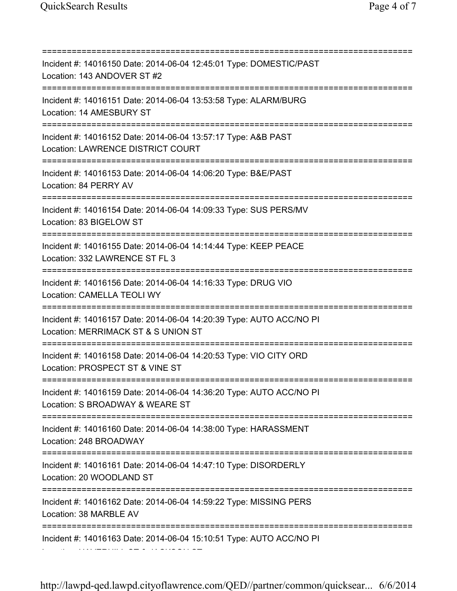=========================================================================== Incident #: 14016150 Date: 2014-06-04 12:45:01 Type: DOMESTIC/PAST Location: 143 ANDOVER ST #2 =========================================================================== Incident #: 14016151 Date: 2014-06-04 13:53:58 Type: ALARM/BURG Location: 14 AMESBURY ST =========================================================================== Incident #: 14016152 Date: 2014-06-04 13:57:17 Type: A&B PAST Location: LAWRENCE DISTRICT COURT =========================================================================== Incident #: 14016153 Date: 2014-06-04 14:06:20 Type: B&E/PAST Location: 84 PERRY AV =========================================================================== Incident #: 14016154 Date: 2014-06-04 14:09:33 Type: SUS PERS/MV Location: 83 BIGELOW ST =========================================================================== Incident #: 14016155 Date: 2014-06-04 14:14:44 Type: KEEP PEACE Location: 332 LAWRENCE ST FL 3 =========================================================================== Incident #: 14016156 Date: 2014-06-04 14:16:33 Type: DRUG VIO Location: CAMELLA TEOLI WY =========================================================================== Incident #: 14016157 Date: 2014-06-04 14:20:39 Type: AUTO ACC/NO PI Location: MERRIMACK ST & S UNION ST =========================================================================== Incident #: 14016158 Date: 2014-06-04 14:20:53 Type: VIO CITY ORD Location: PROSPECT ST & VINE ST =========================================================================== Incident #: 14016159 Date: 2014-06-04 14:36:20 Type: AUTO ACC/NO PI Location: S BROADWAY & WEARE ST =========================================================================== Incident #: 14016160 Date: 2014-06-04 14:38:00 Type: HARASSMENT Location: 248 BROADWAY =========================================================================== Incident #: 14016161 Date: 2014-06-04 14:47:10 Type: DISORDERLY Location: 20 WOODLAND ST =========================================================================== Incident #: 14016162 Date: 2014-06-04 14:59:22 Type: MISSING PERS Location: 38 MARBLE AV =========================================================================== Incident #: 14016163 Date: 2014-06-04 15:10:51 Type: AUTO ACC/NO PI Location: HAVERHILL ST & JACKSON ST

http://lawpd-qed.lawpd.cityoflawrence.com/QED//partner/common/quicksear... 6/6/2014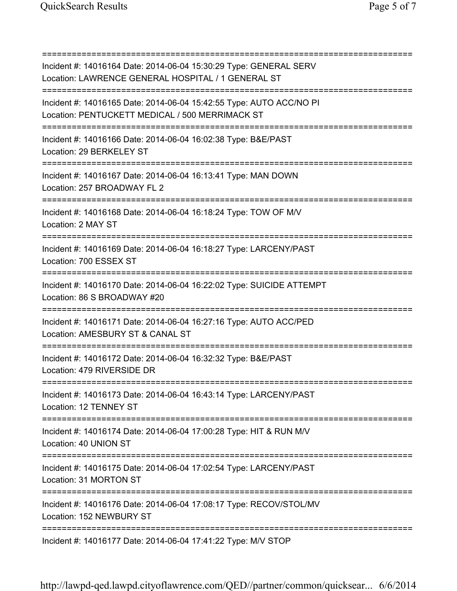=========================================================================== Incident #: 14016164 Date: 2014-06-04 15:30:29 Type: GENERAL SERV Location: LAWRENCE GENERAL HOSPITAL / 1 GENERAL ST =========================================================================== Incident #: 14016165 Date: 2014-06-04 15:42:55 Type: AUTO ACC/NO PI Location: PENTUCKETT MEDICAL / 500 MERRIMACK ST =========================================================================== Incident #: 14016166 Date: 2014-06-04 16:02:38 Type: B&E/PAST Location: 29 BERKELEY ST =========================================================================== Incident #: 14016167 Date: 2014-06-04 16:13:41 Type: MAN DOWN Location: 257 BROADWAY FL 2 =========================================================================== Incident #: 14016168 Date: 2014-06-04 16:18:24 Type: TOW OF M/V Location: 2 MAY ST =========================================================================== Incident #: 14016169 Date: 2014-06-04 16:18:27 Type: LARCENY/PAST Location: 700 ESSEX ST =========================================================================== Incident #: 14016170 Date: 2014-06-04 16:22:02 Type: SUICIDE ATTEMPT Location: 86 S BROADWAY #20 =========================================================================== Incident #: 14016171 Date: 2014-06-04 16:27:16 Type: AUTO ACC/PED Location: AMESBURY ST & CANAL ST =========================================================================== Incident #: 14016172 Date: 2014-06-04 16:32:32 Type: B&E/PAST Location: 479 RIVERSIDE DR =========================================================================== Incident #: 14016173 Date: 2014-06-04 16:43:14 Type: LARCENY/PAST Location: 12 TENNEY ST =========================================================================== Incident #: 14016174 Date: 2014-06-04 17:00:28 Type: HIT & RUN M/V Location: 40 UNION ST =========================================================================== Incident #: 14016175 Date: 2014-06-04 17:02:54 Type: LARCENY/PAST Location: 31 MORTON ST =========================================================================== Incident #: 14016176 Date: 2014-06-04 17:08:17 Type: RECOV/STOL/MV Location: 152 NEWBURY ST =========================================================================== Incident #: 14016177 Date: 2014-06-04 17:41:22 Type: M/V STOP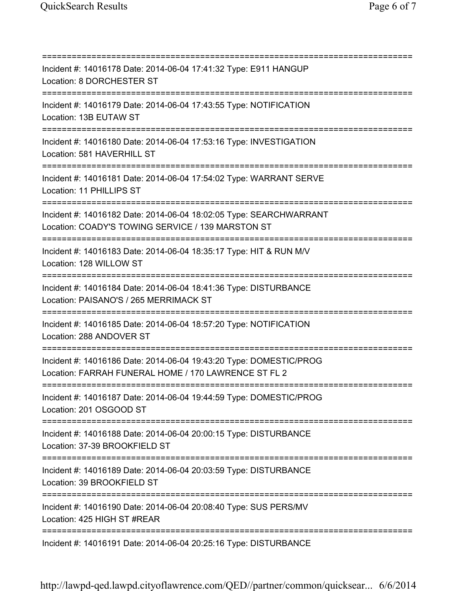=========================================================================== Incident #: 14016178 Date: 2014-06-04 17:41:32 Type: E911 HANGUP Location: 8 DORCHESTER ST =========================================================================== Incident #: 14016179 Date: 2014-06-04 17:43:55 Type: NOTIFICATION Location: 13B EUTAW ST =========================================================================== Incident #: 14016180 Date: 2014-06-04 17:53:16 Type: INVESTIGATION Location: 581 HAVERHILL ST =========================================================================== Incident #: 14016181 Date: 2014-06-04 17:54:02 Type: WARRANT SERVE Location: 11 PHILLIPS ST =========================================================================== Incident #: 14016182 Date: 2014-06-04 18:02:05 Type: SEARCHWARRANT Location: COADY'S TOWING SERVICE / 139 MARSTON ST =========================================================================== Incident #: 14016183 Date: 2014-06-04 18:35:17 Type: HIT & RUN M/V Location: 128 WILLOW ST =========================================================================== Incident #: 14016184 Date: 2014-06-04 18:41:36 Type: DISTURBANCE Location: PAISANO'S / 265 MERRIMACK ST =========================================================================== Incident #: 14016185 Date: 2014-06-04 18:57:20 Type: NOTIFICATION Location: 288 ANDOVER ST =========================================================================== Incident #: 14016186 Date: 2014-06-04 19:43:20 Type: DOMESTIC/PROG Location: FARRAH FUNERAL HOME / 170 LAWRENCE ST FL 2 =========================================================================== Incident #: 14016187 Date: 2014-06-04 19:44:59 Type: DOMESTIC/PROG Location: 201 OSGOOD ST =========================================================================== Incident #: 14016188 Date: 2014-06-04 20:00:15 Type: DISTURBANCE Location: 37-39 BROOKFIELD ST =========================================================================== Incident #: 14016189 Date: 2014-06-04 20:03:59 Type: DISTURBANCE Location: 39 BROOKFIELD ST =========================================================================== Incident #: 14016190 Date: 2014-06-04 20:08:40 Type: SUS PERS/MV Location: 425 HIGH ST #REAR =========================================================================== Incident #: 14016191 Date: 2014-06-04 20:25:16 Type: DISTURBANCE

http://lawpd-qed.lawpd.cityoflawrence.com/QED//partner/common/quicksear... 6/6/2014